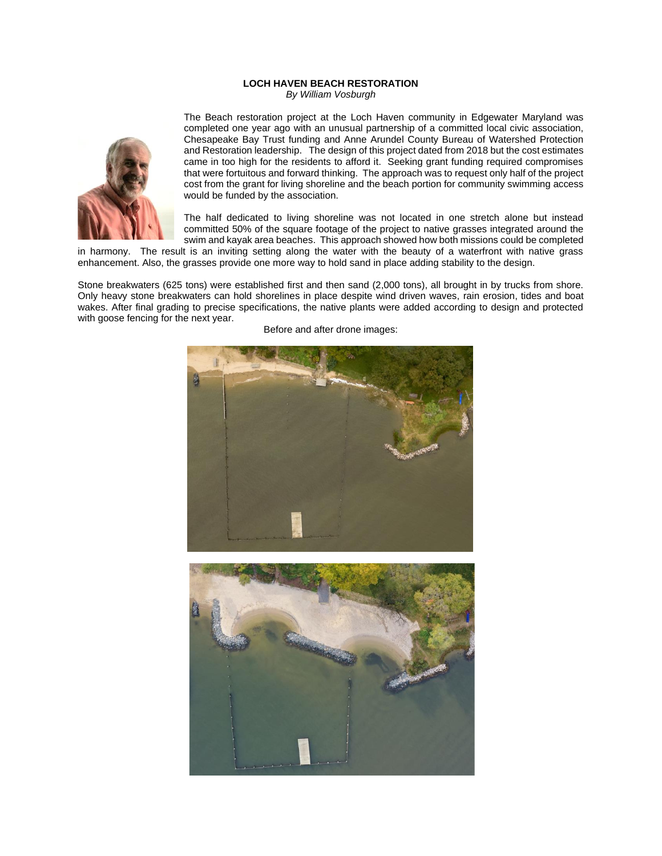## **LOCH HAVEN BEACH RESTORATION**

*By William Vosburgh*



The Beach restoration project at the Loch Haven community in Edgewater Maryland was completed one year ago with an unusual partnership of a committed local civic association, Chesapeake Bay Trust funding and Anne Arundel County Bureau of Watershed Protection and Restoration leadership. The design of this project dated from 2018 but the cost estimates came in too high for the residents to afford it. Seeking grant funding required compromises that were fortuitous and forward thinking. The approach was to request only half of the project cost from the grant for living shoreline and the beach portion for community swimming access would be funded by the association.

The half dedicated to living shoreline was not located in one stretch alone but instead committed 50% of the square footage of the project to native grasses integrated around the swim and kayak area beaches. This approach showed how both missions could be completed

in harmony. The result is an inviting setting along the water with the beauty of a waterfront with native grass enhancement. Also, the grasses provide one more way to hold sand in place adding stability to the design.

Stone breakwaters (625 tons) were established first and then sand (2,000 tons), all brought in by trucks from shore. Only heavy stone breakwaters can hold shorelines in place despite wind driven waves, rain erosion, tides and boat wakes. After final grading to precise specifications, the native plants were added according to design and protected with goose fencing for the next year.



Before and after drone images: